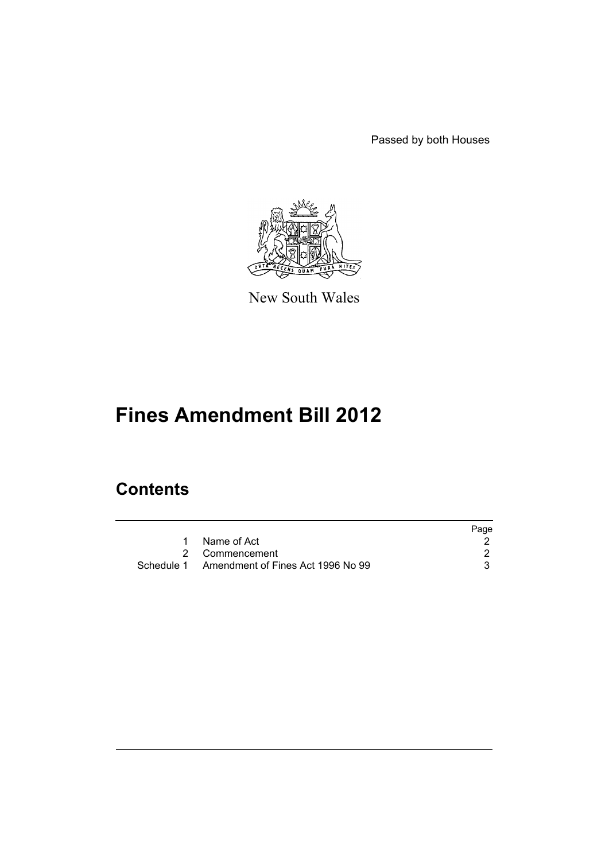Passed by both Houses



New South Wales

# **Fines Amendment Bill 2012**

## **Contents**

|                                              | Page |
|----------------------------------------------|------|
| Name of Act                                  |      |
| 2 Commencement                               |      |
| Schedule 1 Amendment of Fines Act 1996 No 99 |      |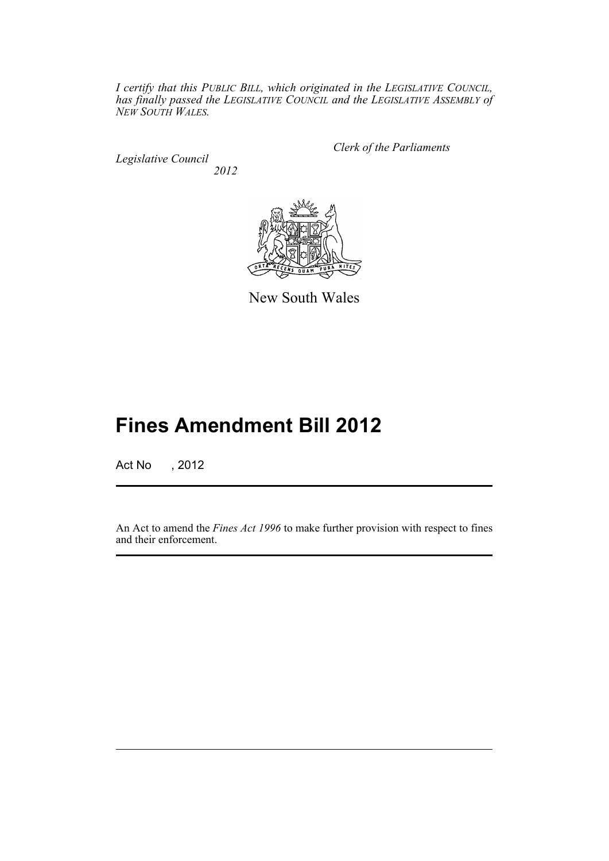*I certify that this PUBLIC BILL, which originated in the LEGISLATIVE COUNCIL, has finally passed the LEGISLATIVE COUNCIL and the LEGISLATIVE ASSEMBLY of NEW SOUTH WALES.*

*Legislative Council 2012* *Clerk of the Parliaments*



New South Wales

## **Fines Amendment Bill 2012**

Act No , 2012

An Act to amend the *Fines Act 1996* to make further provision with respect to fines and their enforcement.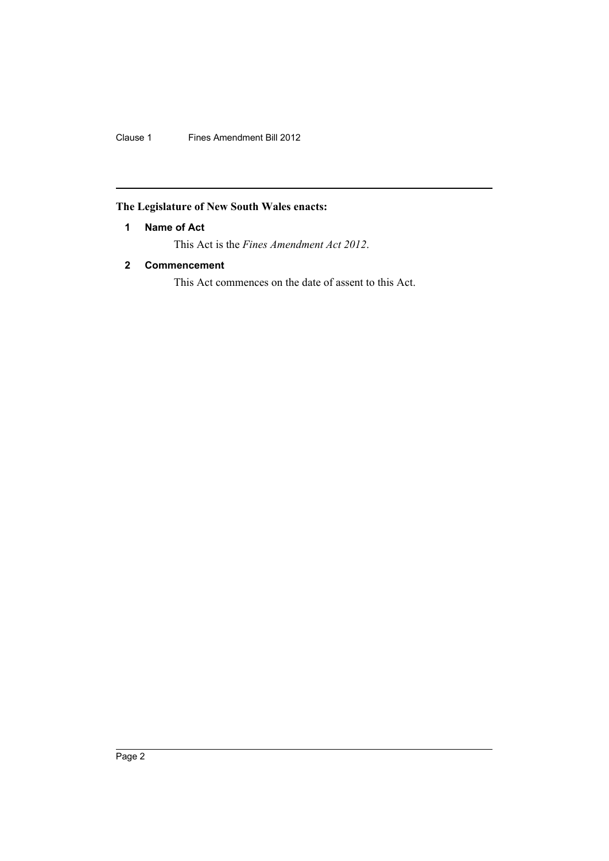Clause 1 Fines Amendment Bill 2012

## <span id="page-3-0"></span>**The Legislature of New South Wales enacts:**

## **1 Name of Act**

This Act is the *Fines Amendment Act 2012*.

## <span id="page-3-1"></span>**2 Commencement**

This Act commences on the date of assent to this Act.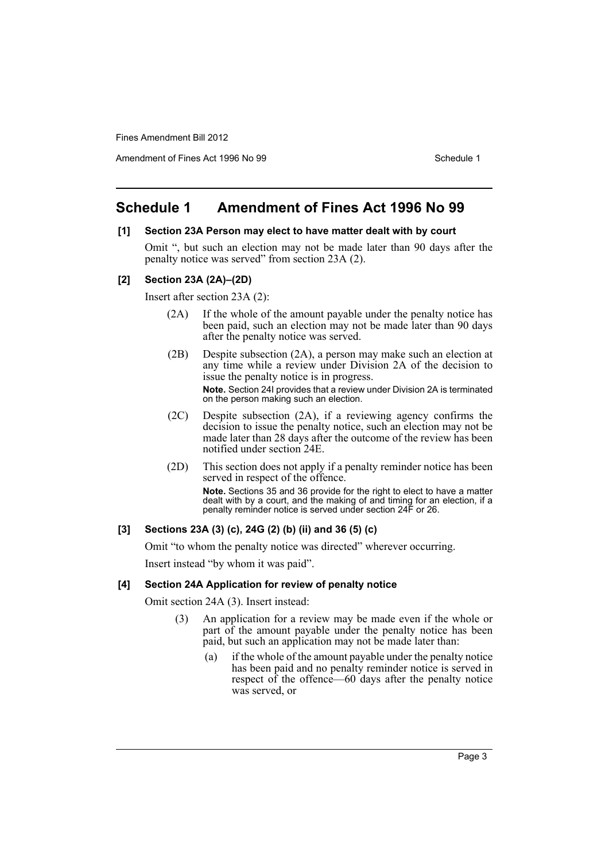Amendment of Fines Act 1996 No 99 Schedule 1

## <span id="page-4-0"></span>**Schedule 1 Amendment of Fines Act 1996 No 99**

#### **[1] Section 23A Person may elect to have matter dealt with by court**

Omit ", but such an election may not be made later than 90 days after the penalty notice was served" from section 23A (2).

#### **[2] Section 23A (2A)–(2D)**

Insert after section 23A (2):

- (2A) If the whole of the amount payable under the penalty notice has been paid, such an election may not be made later than 90 days after the penalty notice was served.
- (2B) Despite subsection (2A), a person may make such an election at any time while a review under Division 2A of the decision to issue the penalty notice is in progress.

**Note.** Section 24I provides that a review under Division 2A is terminated on the person making such an election.

- (2C) Despite subsection (2A), if a reviewing agency confirms the decision to issue the penalty notice, such an election may not be made later than 28 days after the outcome of the review has been notified under section 24E.
- (2D) This section does not apply if a penalty reminder notice has been served in respect of the offence. **Note.** Sections 35 and 36 provide for the right to elect to have a matter dealt with by a court, and the making of and timing for an election, if a penalty reminder notice is served under section 24F or 26.

## **[3] Sections 23A (3) (c), 24G (2) (b) (ii) and 36 (5) (c)**

Omit "to whom the penalty notice was directed" wherever occurring.

Insert instead "by whom it was paid".

#### **[4] Section 24A Application for review of penalty notice**

Omit section 24A (3). Insert instead:

- (3) An application for a review may be made even if the whole or part of the amount payable under the penalty notice has been paid, but such an application may not be made later than:
	- (a) if the whole of the amount payable under the penalty notice has been paid and no penalty reminder notice is served in respect of the offence—60 days after the penalty notice was served, or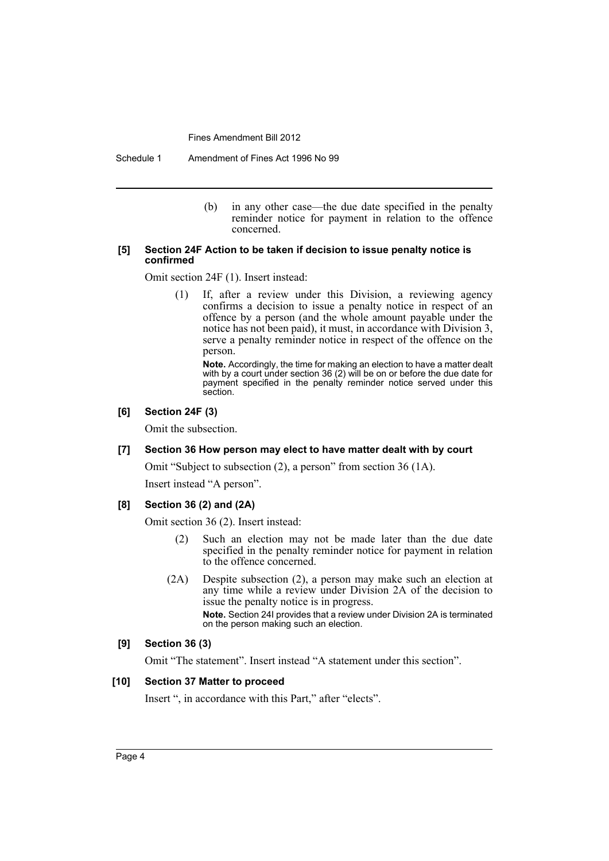Schedule 1 Amendment of Fines Act 1996 No 99

(b) in any other case—the due date specified in the penalty reminder notice for payment in relation to the offence concerned.

#### **[5] Section 24F Action to be taken if decision to issue penalty notice is confirmed**

Omit section 24F (1). Insert instead:

(1) If, after a review under this Division, a reviewing agency confirms a decision to issue a penalty notice in respect of an offence by a person (and the whole amount payable under the notice has not been paid), it must, in accordance with Division 3, serve a penalty reminder notice in respect of the offence on the person.

**Note.** Accordingly, the time for making an election to have a matter dealt with by a court under section 36 (2) will be on or before the due date for payment specified in the penalty reminder notice served under this section.

#### **[6] Section 24F (3)**

Omit the subsection.

#### **[7] Section 36 How person may elect to have matter dealt with by court**

Omit "Subject to subsection (2), a person" from section 36 (1A).

Insert instead "A person".

#### **[8] Section 36 (2) and (2A)**

Omit section 36 (2). Insert instead:

- (2) Such an election may not be made later than the due date specified in the penalty reminder notice for payment in relation to the offence concerned.
- (2A) Despite subsection (2), a person may make such an election at any time while a review under Division 2A of the decision to issue the penalty notice is in progress. **Note.** Section 24I provides that a review under Division 2A is terminated on the person making such an election.

#### **[9] Section 36 (3)**

Omit "The statement". Insert instead "A statement under this section".

#### **[10] Section 37 Matter to proceed**

Insert ", in accordance with this Part," after "elects".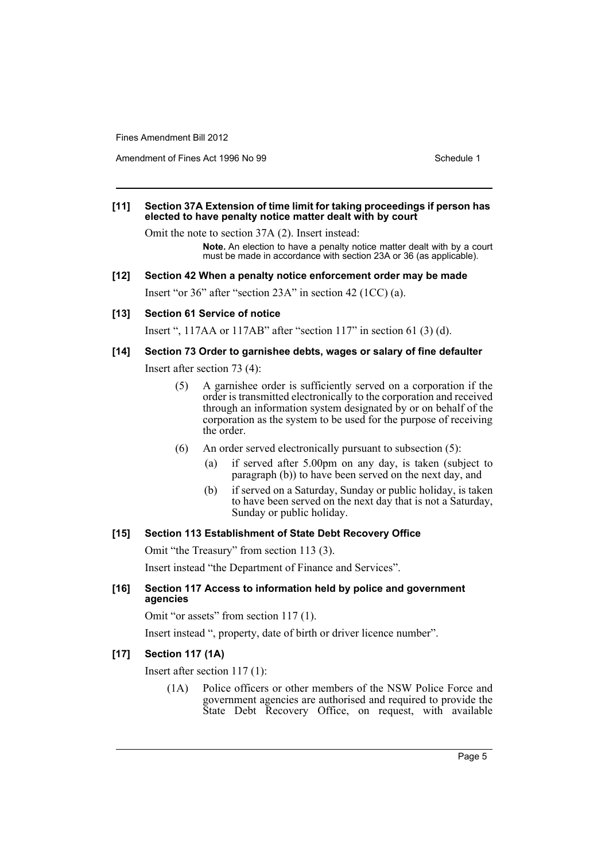Amendment of Fines Act 1996 No 99 Schedule 1

#### **[11] Section 37A Extension of time limit for taking proceedings if person has elected to have penalty notice matter dealt with by court**

Omit the note to section 37A (2). Insert instead:

**Note.** An election to have a penalty notice matter dealt with by a court must be made in accordance with section 23A or 36 (as applicable).

#### **[12] Section 42 When a penalty notice enforcement order may be made**

Insert "or 36" after "section 23A" in section 42 (1CC) (a).

#### **[13] Section 61 Service of notice**

Insert ", 117AA or 117AB" after "section 117" in section 61 (3) (d).

#### **[14] Section 73 Order to garnishee debts, wages or salary of fine defaulter**

Insert after section 73 (4):

- (5) A garnishee order is sufficiently served on a corporation if the order is transmitted electronically to the corporation and received through an information system designated by or on behalf of the corporation as the system to be used for the purpose of receiving the order.
- (6) An order served electronically pursuant to subsection (5):
	- (a) if served after 5.00pm on any day, is taken (subject to paragraph (b)) to have been served on the next day, and
	- (b) if served on a Saturday, Sunday or public holiday, is taken to have been served on the next day that is not a Saturday, Sunday or public holiday.

#### **[15] Section 113 Establishment of State Debt Recovery Office**

Omit "the Treasury" from section 113 (3).

Insert instead "the Department of Finance and Services".

#### **[16] Section 117 Access to information held by police and government agencies**

Omit "or assets" from section 117 (1).

Insert instead ", property, date of birth or driver licence number".

## **[17] Section 117 (1A)**

Insert after section 117 (1):

(1A) Police officers or other members of the NSW Police Force and government agencies are authorised and required to provide the State Debt Recovery Office, on request, with available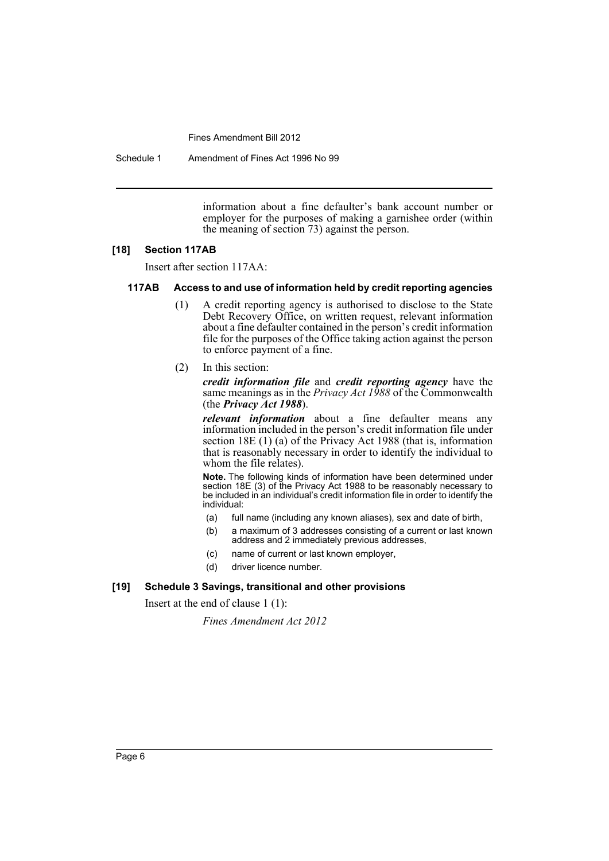Schedule 1 Amendment of Fines Act 1996 No 99

information about a fine defaulter's bank account number or employer for the purposes of making a garnishee order (within the meaning of section 73) against the person.

#### **[18] Section 117AB**

Insert after section 117AA:

## **117AB Access to and use of information held by credit reporting agencies**

- (1) A credit reporting agency is authorised to disclose to the State Debt Recovery Office, on written request, relevant information about a fine defaulter contained in the person's credit information file for the purposes of the Office taking action against the person to enforce payment of a fine.
- (2) In this section:

*credit information file* and *credit reporting agency* have the same meanings as in the *Privacy Act 1988* of the Commonwealth (the *Privacy Act 1988*).

*relevant information* about a fine defaulter means any information included in the person's credit information file under section 18E (1) (a) of the Privacy Act 1988 (that is, information that is reasonably necessary in order to identify the individual to whom the file relates).

**Note.** The following kinds of information have been determined under section 18E (3) of the Privacy Act 1988 to be reasonably necessary to be included in an individual's credit information file in order to identify the individual:

- (a) full name (including any known aliases), sex and date of birth,
- (b) a maximum of 3 addresses consisting of a current or last known address and 2 immediately previous addresses,
- (c) name of current or last known employer,
- (d) driver licence number.

#### **[19] Schedule 3 Savings, transitional and other provisions**

Insert at the end of clause 1 (1):

*Fines Amendment Act 2012*